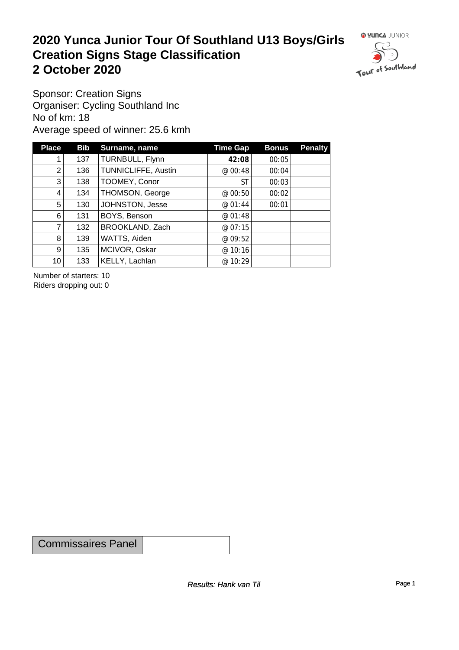#### **2020 Yunca Junior Tour Of Southland U13 Boys/Girls Creation Signs Stage Classification**<br>
2 October 2020 **2 October 2020**



Sponsor: Creation Signs Organiser: Cycling Southland Inc No of km: 18 Average speed of winner: 25.6 kmh

| <b>Place</b>    | <b>Bib</b> | Surname, name       | <b>Time Gap</b> | <b>Bonus</b> | <b>Penalty</b> |
|-----------------|------------|---------------------|-----------------|--------------|----------------|
|                 | 137        | TURNBULL, Flynn     | 42:08           | 00:05        |                |
| $\overline{2}$  | 136        | TUNNICLIFFE, Austin | @00:48          | 00:04        |                |
| 3 <sup>1</sup>  | 138        | TOOMEY, Conor       | ST              | 00:03        |                |
| 4               | 134        | THOMSON, George     | @00:50          | 00:02        |                |
| 5               | 130        | JOHNSTON, Jesse     | @ 01:44         | 00:01        |                |
| 6               | 131        | BOYS, Benson        | @ 01:48         |              |                |
| 7               | 132        | BROOKLAND, Zach     | @ 07:15         |              |                |
| 8               | 139        | WATTS, Aiden        | @ 09:52         |              |                |
| 9 <sup>1</sup>  | 135        | MCIVOR, Oskar       | @ 10:16         |              |                |
| 10 <sup>1</sup> | 133        | KELLY, Lachlan      | @ 10:29         |              |                |

Number of starters: 10 Riders dropping out: 0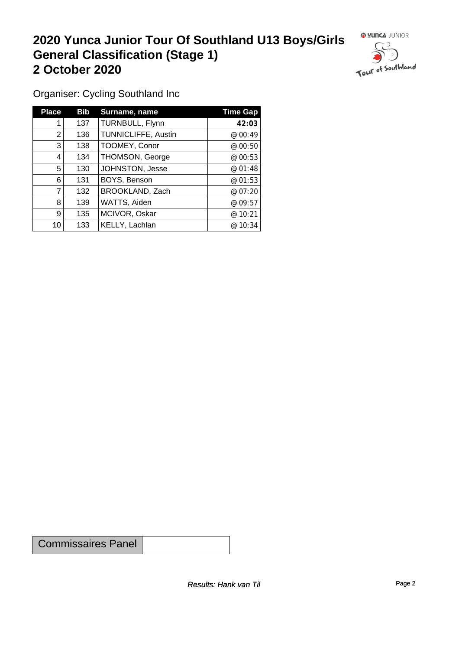## **2020 Yunca Junior Tour Of Southland U13 Boys/Girls General Classification (Stage 1)**<br>
2 October 2020 **2 October 2020**

 $\circ$ 

Organiser: Cycling Southland Inc

| <b>Place</b> | <b>Bib</b> | Surname, name       | <b>Time Gap</b> |
|--------------|------------|---------------------|-----------------|
|              | 137        | TURNBULL, Flynn     | 42:03           |
| 2            | 136        | TUNNICLIFFE, Austin | @ 00:49         |
| 3            | 138        | TOOMEY, Conor       | @00:50          |
| 4            | 134        | THOMSON, George     | @00:53          |
| 5            | 130        | JOHNSTON, Jesse     | @01:48          |
| 6            | 131        | BOYS, Benson        | @01:53          |
| 7            | 132        | BROOKLAND, Zach     | @07:20          |
| 8            | 139        | WATTS, Aiden        | @09:57          |
| 9            | 135        | MCIVOR, Oskar       | @ 10:21         |
| 10           | 133        | KELLY, Lachlan      | @ 10:34         |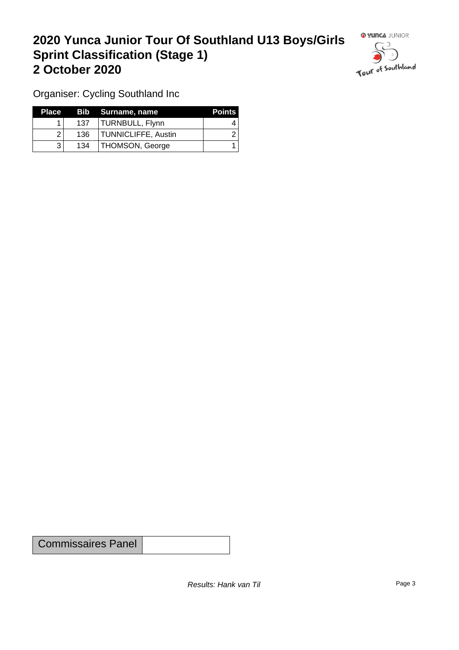### **2020 Yunca Junior Tour Of Southland U13 Boys/Girls Sprint Classification (Stage 1) 2 October 2020**



Organiser: Cycling Southland Inc

| <b>Place</b> |     | Bib Surname, name   | <b>Points</b> |
|--------------|-----|---------------------|---------------|
|              | 137 | TURNBULL, Flynn     |               |
|              | 136 | TUNNICLIFFE, Austin |               |
|              | 134 | THOMSON, George     |               |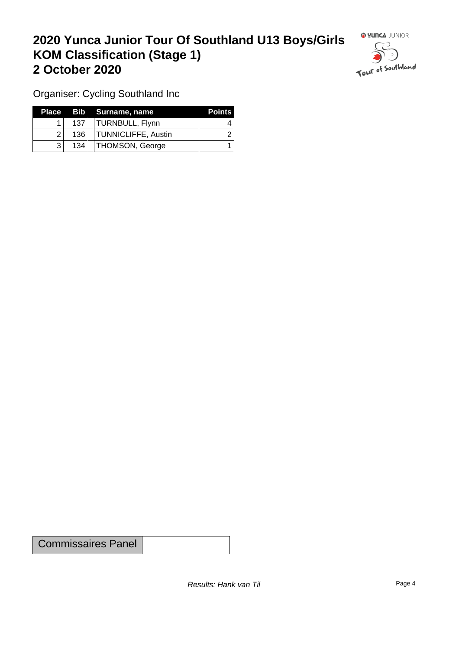### **2020 Yunca Junior Tour Of Southland U13 Boys/Girls KOM Classification (Stage 1) 2 October 2020**



Organiser: Cycling Southland Inc

| Place        |     | Bib Surname, name   | <b>Points</b> |
|--------------|-----|---------------------|---------------|
|              | 137 | TURNBULL, Flynn     |               |
| $\Omega$     | 136 | TUNNICLIFFE, Austin |               |
| $\mathbf{R}$ | 134 | THOMSON, George     |               |